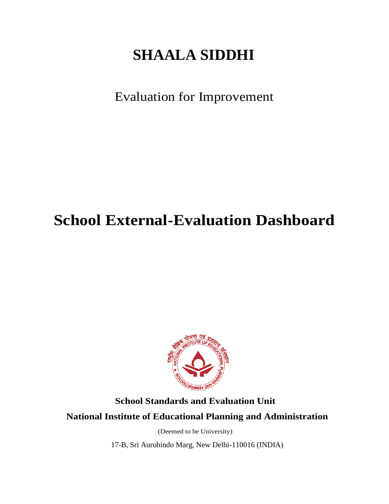# **SHAALA SIDDHI**

Evaluation for Improvement

# **School External-Evaluation Dashboard**



# **School Standards and Evaluation Unit**

# **National Institute of Educational Planning and Administration**

(Deemed to be University)

17-B, Sri Aurobindo Marg, New Delhi-110016 (INDIA)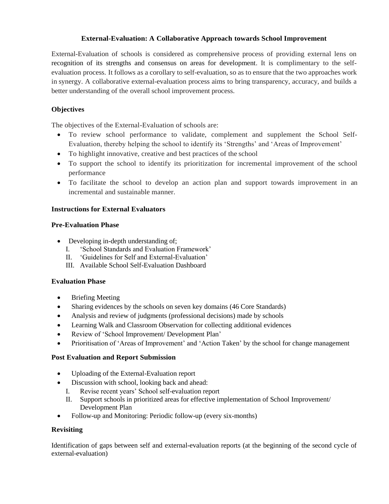#### **External-Evaluation: A Collaborative Approach towards School Improvement**

External-Evaluation of schools is considered as comprehensive process of providing external lens on recognition of its strengths and consensus on areas for development. It is complimentary to the selfevaluation process. It follows as a corollary to self-evaluation, so as to ensure that the two approaches work in synergy. A collaborative external-evaluation process aims to bring transparency, accuracy, and builds a better understanding of the overall school improvement process.

### **Objectives**

The objectives of the External-Evaluation of schools are:

- To review school performance to validate, complement and supplement the School Self-Evaluation, thereby helping the school to identify its 'Strengths' and 'Areas of Improvement'
- To highlight innovative, creative and best practices of the school
- To support the school to identify its prioritization for incremental improvement of the school performance
- To facilitate the school to develop an action plan and support towards improvement in an incremental and sustainable manner.

#### **Instructions for External Evaluators**

#### **Pre-Evaluation Phase**

- Developing in-depth understanding of;
	- I. 'School Standards and Evaluation Framework'
	- II. 'Guidelines for Self and External-Evaluation'
	- III. Available School Self-Evaluation Dashboard

#### **Evaluation Phase**

- **Briefing Meeting**
- Sharing evidences by the schools on seven key domains (46 Core Standards)
- Analysis and review of judgments (professional decisions) made by schools
- Learning Walk and Classroom Observation for collecting additional evidences
- Review of 'School Improvement/ Development Plan'
- Prioritisation of 'Areas of Improvement' and 'Action Taken' by the school for change management

#### **Post Evaluation and Report Submission**

- Uploading of the External-Evaluation report
- Discussion with school, looking back and ahead:
	- I. Revise recent years' School self-evaluation report
	- II. Support schools in prioritized areas for effective implementation of School Improvement/ Development Plan
- Follow-up and Monitoring: Periodic follow-up (every six-months)

#### **Revisiting**

Identification of gaps between self and external-evaluation reports (at the beginning of the second cycle of external-evaluation)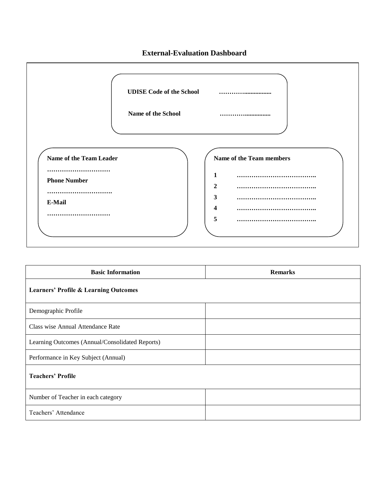#### **External-Evaluation Dashboard**



| <b>Basic Information</b>                         | <b>Remarks</b> |  |  |  |  |
|--------------------------------------------------|----------------|--|--|--|--|
| <b>Learners' Profile &amp; Learning Outcomes</b> |                |  |  |  |  |
| Demographic Profile                              |                |  |  |  |  |
| Class wise Annual Attendance Rate                |                |  |  |  |  |
| Learning Outcomes (Annual/Consolidated Reports)  |                |  |  |  |  |
| Performance in Key Subject (Annual)              |                |  |  |  |  |
| <b>Teachers' Profile</b>                         |                |  |  |  |  |
| Number of Teacher in each category               |                |  |  |  |  |
| Teachers' Attendance                             |                |  |  |  |  |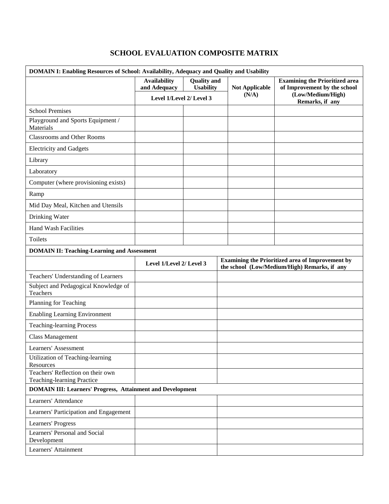## **SCHOOL EVALUATION COMPOSITE MATRIX**

| DOMAIN I: Enabling Resources of School: Availability, Adequacy and Quality and Usability |                                                              |                    |  |                                                                                                         |                                                                      |  |  |
|------------------------------------------------------------------------------------------|--------------------------------------------------------------|--------------------|--|---------------------------------------------------------------------------------------------------------|----------------------------------------------------------------------|--|--|
|                                                                                          | <b>Availability</b>                                          | <b>Quality</b> and |  |                                                                                                         | <b>Examining the Prioritized area</b>                                |  |  |
|                                                                                          | and Adequacy<br><b>Usability</b><br>Level 1/Level 2/ Level 3 |                    |  | <b>Not Applicable</b><br>(N/A)                                                                          | of Improvement by the school<br>(Low/Medium/High)<br>Remarks, if any |  |  |
| <b>School Premises</b>                                                                   |                                                              |                    |  |                                                                                                         |                                                                      |  |  |
| Playground and Sports Equipment /<br>Materials                                           |                                                              |                    |  |                                                                                                         |                                                                      |  |  |
| <b>Classrooms and Other Rooms</b>                                                        |                                                              |                    |  |                                                                                                         |                                                                      |  |  |
| <b>Electricity and Gadgets</b>                                                           |                                                              |                    |  |                                                                                                         |                                                                      |  |  |
| Library                                                                                  |                                                              |                    |  |                                                                                                         |                                                                      |  |  |
| Laboratory                                                                               |                                                              |                    |  |                                                                                                         |                                                                      |  |  |
| Computer (where provisioning exists)                                                     |                                                              |                    |  |                                                                                                         |                                                                      |  |  |
| Ramp                                                                                     |                                                              |                    |  |                                                                                                         |                                                                      |  |  |
| Mid Day Meal, Kitchen and Utensils                                                       |                                                              |                    |  |                                                                                                         |                                                                      |  |  |
| Drinking Water                                                                           |                                                              |                    |  |                                                                                                         |                                                                      |  |  |
| <b>Hand Wash Facilities</b>                                                              |                                                              |                    |  |                                                                                                         |                                                                      |  |  |
| Toilets                                                                                  |                                                              |                    |  |                                                                                                         |                                                                      |  |  |
| <b>DOMAIN II: Teaching-Learning and Assessment</b>                                       |                                                              |                    |  |                                                                                                         |                                                                      |  |  |
|                                                                                          | Level 1/Level 2/ Level 3                                     |                    |  | <b>Examining the Prioritized area of Improvement by</b><br>the school (Low/Medium/High) Remarks, if any |                                                                      |  |  |
| Teachers' Understanding of Learners                                                      |                                                              |                    |  |                                                                                                         |                                                                      |  |  |
| Subject and Pedagogical Knowledge of<br>Teachers                                         |                                                              |                    |  |                                                                                                         |                                                                      |  |  |
| Planning for Teaching                                                                    |                                                              |                    |  |                                                                                                         |                                                                      |  |  |
| <b>Enabling Learning Environment</b>                                                     |                                                              |                    |  |                                                                                                         |                                                                      |  |  |
| <b>Teaching-learning Process</b>                                                         |                                                              |                    |  |                                                                                                         |                                                                      |  |  |
| <b>Class Management</b>                                                                  |                                                              |                    |  |                                                                                                         |                                                                      |  |  |
| Learners' Assessment                                                                     |                                                              |                    |  |                                                                                                         |                                                                      |  |  |
| Utilization of Teaching-learning<br>Resources                                            |                                                              |                    |  |                                                                                                         |                                                                      |  |  |
| Teachers' Reflection on their own<br>Teaching-learning Practice                          |                                                              |                    |  |                                                                                                         |                                                                      |  |  |
| <b>DOMAIN III: Learners' Progress, Attainment and Development</b>                        |                                                              |                    |  |                                                                                                         |                                                                      |  |  |
| Learners' Attendance                                                                     |                                                              |                    |  |                                                                                                         |                                                                      |  |  |
| Learners' Participation and Engagement                                                   |                                                              |                    |  |                                                                                                         |                                                                      |  |  |
| Learners' Progress                                                                       |                                                              |                    |  |                                                                                                         |                                                                      |  |  |
| Learners' Personal and Social<br>Development                                             |                                                              |                    |  |                                                                                                         |                                                                      |  |  |
| Learners' Attainment                                                                     |                                                              |                    |  |                                                                                                         |                                                                      |  |  |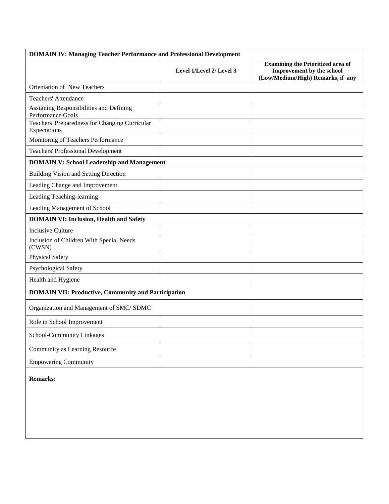| <b>DOMAIN IV: Managing Teacher Performance and Professional Development</b> |                          |                                                                                                            |  |  |  |  |  |  |
|-----------------------------------------------------------------------------|--------------------------|------------------------------------------------------------------------------------------------------------|--|--|--|--|--|--|
|                                                                             | Level 1/Level 2/ Level 3 | <b>Examining the Prioritized area of</b><br>Improvement by the school<br>(Low/Medium/High) Remarks, if any |  |  |  |  |  |  |
| Orientation of New Teachers                                                 |                          |                                                                                                            |  |  |  |  |  |  |
| <b>Teachers' Attendance</b>                                                 |                          |                                                                                                            |  |  |  |  |  |  |
| Assigning Responsibilities and Defining<br>Performance Goals                |                          |                                                                                                            |  |  |  |  |  |  |
| Teachers 'Preparedness for Changing Curricular<br>Expectations              |                          |                                                                                                            |  |  |  |  |  |  |
| Monitoring of Teachers Performance                                          |                          |                                                                                                            |  |  |  |  |  |  |
| <b>Teachers' Professional Development</b>                                   |                          |                                                                                                            |  |  |  |  |  |  |
| <b>DOMAIN V: School Leadership and Management</b>                           |                          |                                                                                                            |  |  |  |  |  |  |
| Building Vision and Setting Direction                                       |                          |                                                                                                            |  |  |  |  |  |  |
| Leading Change and Improvement                                              |                          |                                                                                                            |  |  |  |  |  |  |
| Leading Teaching-learning                                                   |                          |                                                                                                            |  |  |  |  |  |  |
| Leading Management of School                                                |                          |                                                                                                            |  |  |  |  |  |  |
| <b>DOMAIN VI: Inclusion, Health and Safety</b>                              |                          |                                                                                                            |  |  |  |  |  |  |
| <b>Inclusive Culture</b>                                                    |                          |                                                                                                            |  |  |  |  |  |  |
| Inclusion of Children With Special Needs<br>(CWSN)                          |                          |                                                                                                            |  |  |  |  |  |  |
| <b>Physical Safety</b>                                                      |                          |                                                                                                            |  |  |  |  |  |  |
| Psychological Safety                                                        |                          |                                                                                                            |  |  |  |  |  |  |
| Health and Hygiene                                                          |                          |                                                                                                            |  |  |  |  |  |  |
| <b>DOMAIN VII: Productive, Community and Participation</b>                  |                          |                                                                                                            |  |  |  |  |  |  |
| Organization and Management of SMC/ SDMC                                    |                          |                                                                                                            |  |  |  |  |  |  |
| Role in School Improvement                                                  |                          |                                                                                                            |  |  |  |  |  |  |
| School-Community Linkages                                                   |                          |                                                                                                            |  |  |  |  |  |  |
| Community as Learning Resource                                              |                          |                                                                                                            |  |  |  |  |  |  |
| <b>Empowering Community</b>                                                 |                          |                                                                                                            |  |  |  |  |  |  |
| <b>Remarks:</b>                                                             |                          |                                                                                                            |  |  |  |  |  |  |
|                                                                             |                          |                                                                                                            |  |  |  |  |  |  |